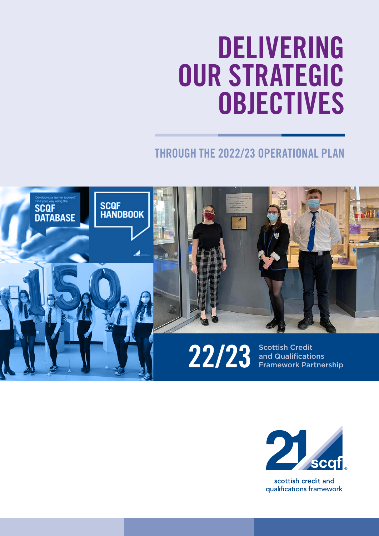# **DELIVERING OUR STRATEGIC OBJECTIVES**

## **THROUGH THE 2022/23 OPERATIONAL PLAN**





scottish credit and qualifications framework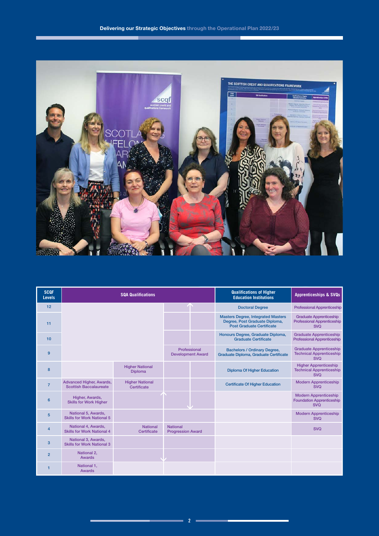

| <b>SCQF</b><br><b>Levels</b> | <b>SQA Qualifications</b>                                 |                                          |                                             |  | <b>Qualifications of Higher</b><br><b>Education Institutions</b>                                                | <b>Apprenticeships &amp; SVQs</b>                                                  |
|------------------------------|-----------------------------------------------------------|------------------------------------------|---------------------------------------------|--|-----------------------------------------------------------------------------------------------------------------|------------------------------------------------------------------------------------|
| 12                           |                                                           |                                          |                                             |  | <b>Doctoral Degree</b>                                                                                          | <b>Professional Apprenticeship</b>                                                 |
| 11                           |                                                           |                                          |                                             |  | <b>Masters Degree, Integrated Masters</b><br>Degree, Post Graduate Diploma,<br><b>Post Graduate Certificate</b> | <b>Graduate Apprenticeship</b><br><b>Professional Apprenticeship</b><br><b>SVQ</b> |
| 10                           |                                                           |                                          |                                             |  | Honours Degree, Graduate Diploma,<br><b>Graduate Certificate</b>                                                | <b>Graduate Apprenticeship</b><br><b>Professional Apprenticeship</b>               |
| 9                            |                                                           |                                          | Professional<br><b>Development Award</b>    |  | <b>Bachelors / Ordinary Degree,</b><br>Graduate Diploma, Graduate Certificate                                   | <b>Graduate Apprenticeship</b><br><b>Technical Apprenticeship</b><br><b>SVO</b>    |
| 8                            |                                                           | <b>Higher National</b><br><b>Diploma</b> |                                             |  | <b>Diploma Of Higher Education</b>                                                                              | <b>Higher Apprenticeship</b><br><b>Technical Apprenticeship</b><br><b>SVO</b>      |
| $\overline{7}$               | Advanced Higher, Awards,<br><b>Scottish Baccalaureate</b> | <b>Higher National</b><br>Certificate    |                                             |  | <b>Certificate Of Higher Education</b>                                                                          | <b>Modern Apprenticeship</b><br><b>SVO</b>                                         |
| $6\phantom{1}6$              | Higher, Awards,<br><b>Skills for Work Higher</b>          |                                          |                                             |  |                                                                                                                 | <b>Modern Apprenticeship</b><br><b>Foundation Apprenticeship</b><br><b>SVQ</b>     |
| 5                            | National 5, Awards,<br><b>Skills for Work National 5</b>  |                                          |                                             |  |                                                                                                                 | <b>Modern Apprenticeship</b><br><b>SVQ</b>                                         |
| 4                            | National 4, Awards,<br><b>Skills for Work National 4</b>  | <b>National</b><br>Certificate           | <b>National</b><br><b>Progression Award</b> |  |                                                                                                                 | <b>SVQ</b>                                                                         |
| 3                            | National 3, Awards,<br><b>Skills for Work National 3</b>  |                                          |                                             |  |                                                                                                                 |                                                                                    |
| $\overline{2}$               | National 2,<br><b>Awards</b>                              |                                          |                                             |  |                                                                                                                 |                                                                                    |
|                              | National 1,<br><b>Awards</b>                              |                                          |                                             |  |                                                                                                                 |                                                                                    |

an a

F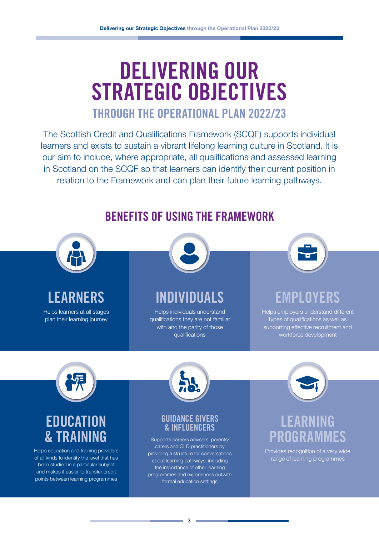# **DELIVERING OUR STRATEGIC OBJECTIVES**

## **THROUGH THE OPERATIONAL PLAN 2022/23**

The Scottish Credit and Qualifications Framework (SCQF) supports individual learners and exists to sustain a vibrant lifelong learning culture in Scotland. It is our aim to include, where appropriate, all qualifications and assessed learning in Scotland on the SCQF so that learners can identify their current position in relation to the Framework and can plan their future learning pathways.



## **BENEFITS OF USING THE FRAMEWORK**

programmes and experiences outwith formal education settings

points between learning programmes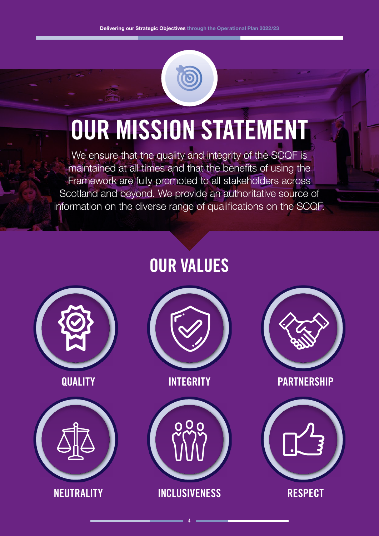# **OUR MISSION STATEMENT**

We ensure that the quality and integrity of the SCQF is maintained at all times and that the benefits of using the Framework are fully promoted to all stakeholders across Scotland and beyond. We provide an authoritative source of information on the diverse range of qualifications on the SCQF.

# **OUR VALUES**









**4**



**QUALITY INTEGRITY PARTNERSHIP**

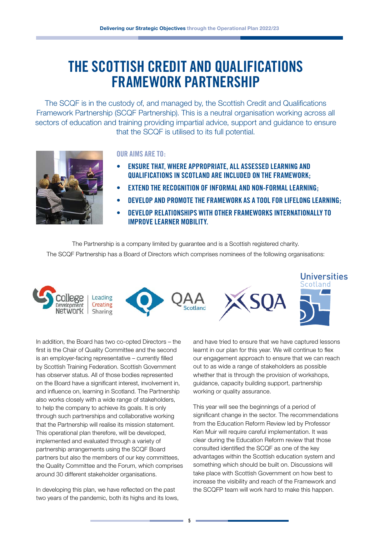## **THE SCOTTISH CREDIT AND QUALIFICATIONS FRAMEWORK PARTNERSHIP**

The SCQF is in the custody of, and managed by, the Scottish Credit and Qualifications Framework Partnership (SCQF Partnership). This is a neutral organisation working across all sectors of education and training providing impartial advice, support and guidance to ensure that the SCQF is utilised to its full potential. I he SCQF is in the custody of, a



#### **OUR AIMS ARE TO:**

The SCOTTISH CREDIT AND INTERNATIONAL

- **•** ENSURE THAT, WHERE APPROPRIATE, ALL ASSESSED LEARNING AND min, with the most rively all nosts see the minimum and the framework: **QUALIFICATIONS IN SCOTLAND ARE INCLUDED ON THE FRAMEWORK;**
- **• EXTEND THE RECOGNITION OF INFORMAL AND NON-FORMAL LEARNING;**
- **• DEVELOP AND PROMOTE THE FRAMEWORK AS A TOOL FOR LIFELONG LEARNING;**
- **• DEVELOP RELATIONSHIPS WITH OTHER FRAMEWORKS INTERNATIONALLY TO IMPROVE LEARNER MOBILITY.**

The Partnership is a company limited by guarantee and is a Scottish registered charity. The SCQF Partnership has a Board of Directors which comprises nominees of the following organisations: The SCQF Partnership has a Board of Directors which comprises nominees of the following



In addition, the Board has two co-opted Directors – the first is the Chair of Quality Committee and the second is an employer-facing representative – currently filled by Scottish Training Federation. Scottish Government has observer status. All of those bodies represented on the Board have a significant interest, involvement in, and influence on, learning in Scotland. The Partnership also works closely with a wide range of stakeholders, to help the company to achieve its goals. It is only through such partnerships and collaborative working that the Partnership will realise its mission statement. This operational plan therefore, will be developed, implemented and evaluated through a variety of partnership arrangements using the SCQF Board partners but also the members of our key committees, the Quality Committee and the Forum, which comprises around 30 different stakeholder organisations.

In developing this plan, we have reflected on the past two years of the pandemic, both its highs and its lows, and have tried to ensure that we have captured lessons learnt in our plan for this year. We will continue to flex our engagement approach to ensure that we can reach out to as wide a range of stakeholders as possible whether that is through the provision of workshops, guidance, capacity building support, partnership working or quality assurance.

This year will see the beginnings of a period of significant change in the sector. The recommendations from the Education Reform Review led by Professor Ken Muir will require careful implementation. It was clear during the Education Reform review that those consulted identified the SCQF as one of the key advantages within the Scottish education system and something which should be built on. Discussions will take place with Scottish Government on how best to increase the visibility and reach of the Framework and the SCQFP team will work hard to make this happen.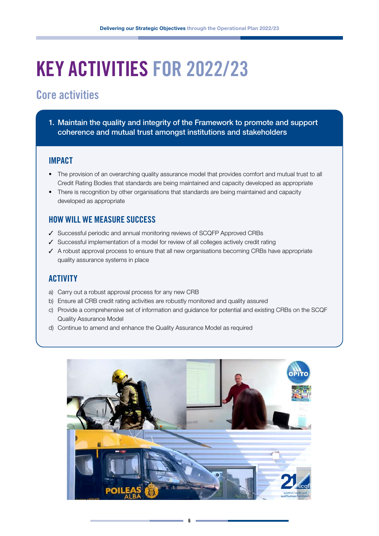# **KEY ACTIVITIES FOR 2022/23**

### **Core activities**

1. Maintain the quality and integrity of the Framework to promote and support coherence and mutual trust amongst institutions and stakeholders

#### **IMPACT**

- The provision of an overarching quality assurance model that provides comfort and mutual trust to all Credit Rating Bodies that standards are being maintained and capacity developed as appropriate
- There is recognition by other organisations that standards are being maintained and capacity developed as appropriate

#### **HOW WILL WE MEASURE SUCCESS**

- 3 Successful periodic and annual monitoring reviews of SCQFP Approved CRBs
- $\checkmark$  Successful implementation of a model for review of all colleges actively credit rating
- $\checkmark$  A robust approval process to ensure that all new organisations becoming CRBs have appropriate quality assurance systems in place

- a) Carry out a robust approval process for any new CRB
- b) Ensure all CRB credit rating activities are robustly monitored and quality assured
- c) Provide a comprehensive set of information and guidance for potential and existing CRBs on the SCQF Quality Assurance Model
- d) Continue to amend and enhance the Quality Assurance Model as required

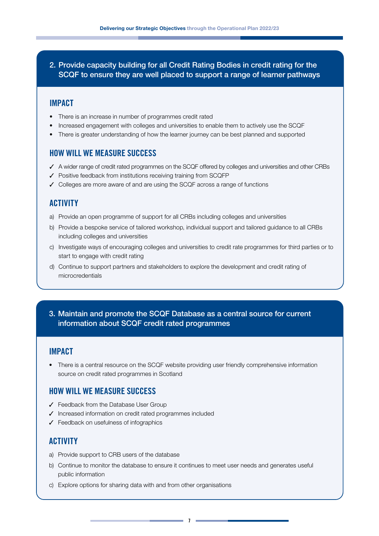2. Provide capacity building for all Credit Rating Bodies in credit rating for the SCQF to ensure they are well placed to support a range of learner pathways

#### **IMPACT**

- There is an increase in number of programmes credit rated
- Increased engagement with colleges and universities to enable them to actively use the SCQF
- There is greater understanding of how the learner journey can be best planned and supported

#### **HOW WILL WE MEASURE SUCCESS**

- $\checkmark$  A wider range of credit rated programmes on the SCQF offered by colleges and universities and other CRBs
- $\checkmark$  Positive feedback from institutions receiving training from SCQFP
- $\checkmark$  Colleges are more aware of and are using the SCQF across a range of functions

#### **ACTIVITY**

- a) Provide an open programme of support for all CRBs including colleges and universities
- b) Provide a bespoke service of tailored workshop, individual support and tailored guidance to all CRBs including colleges and universities
- c) Investigate ways of encouraging colleges and universities to credit rate programmes for third parties or to start to engage with credit rating
- d) Continue to support partners and stakeholders to explore the development and credit rating of microcredentials
- 3. Maintain and promote the SCQF Database as a central source for current information about SCQF credit rated programmes

#### **IMPACT**

• There is a central resource on the SCQF website providing user friendly comprehensive information source on credit rated programmes in Scotland

#### **HOW WILL WE MEASURE SUCCESS**

- $\checkmark$  Feedback from the Database User Group
- $\checkmark$  Increased information on credit rated programmes included
- $\checkmark$  Feedback on usefulness of infographics

#### **ACTIVITY**

- a) Provide support to CRB users of the database
- b) Continue to monitor the database to ensure it continues to meet user needs and generates useful public information
- c) Explore options for sharing data with and from other organisations

**7**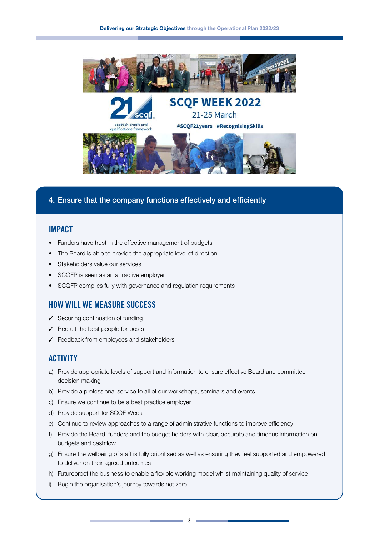



#### 4. Ensure that the company functions effectively and efficiently

#### **IMPACT**

- Funders have trust in the effective management of budgets
- The Board is able to provide the appropriate level of direction
- Stakeholders value our services
- SCQFP is seen as an attractive employer
- SCQFP complies fully with governance and regulation requirements

#### **HOW WILL WE MEASURE SUCCESS**

- $\checkmark$  Securing continuation of funding
- $\sqrt{\ }$  Recruit the best people for posts
- $\checkmark$  Feedback from employees and stakeholders

#### **ACTIVITY**

- a) Provide appropriate levels of support and information to ensure effective Board and committee decision making
- b) Provide a professional service to all of our workshops, seminars and events
- c) Ensure we continue to be a best practice employer
- d) Provide support for SCQF Week
- e) Continue to review approaches to a range of administrative functions to improve efficiency
- f) Provide the Board, funders and the budget holders with clear, accurate and timeous information on budgets and cashflow
- g) Ensure the wellbeing of staff is fully prioritised as well as ensuring they feel supported and empowered to deliver on their agreed outcomes
- h) Futureproof the business to enable a flexible working model whilst maintaining quality of service
- i) Begin the organisation's journey towards net zero

**8**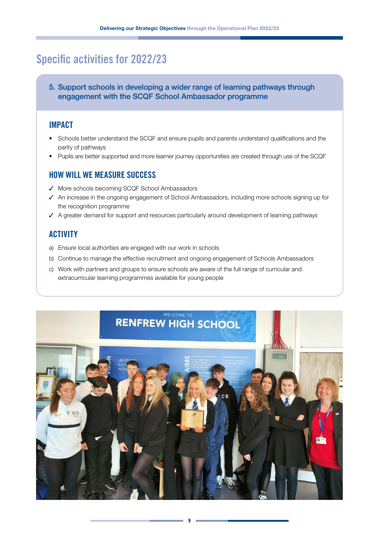### **Specific activities for 2022/23**

5. Support schools in developing a wider range of learning pathways through engagement with the SCQF School Ambassador programme

#### **IMPACT**

- Schools better understand the SCQF and ensure pupils and parents understand qualifications and the parity of pathways
- Pupils are better supported and more learner journey opportunities are created through use of the SCQF

#### **HOW WILL WE MEASURE SUCCESS**

- ◆ More schools becoming SCQF School Ambassadors
- ◆ An increase in the ongoing engagement of School Ambassadors, including more schools signing up for the recognition programme
- $\checkmark$  A greater demand for support and resources particularly around development of learning pathways

- a) Ensure local authorities are engaged with our work in schools
- b) Continue to manage the effective recruitment and ongoing engagement of Schools Ambassadors
- c) Work with partners and groups to ensure schools are aware of the full range of curricular and extracurricular learning programmes available for young people

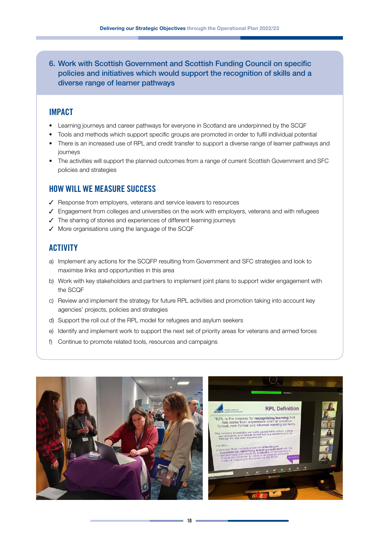6. Work with Scottish Government and Scottish Funding Council on specific policies and initiatives which would support the recognition of skills and a diverse range of learner pathways

#### **IMPACT**

- Learning journeys and career pathways for everyone in Scotland are underpinned by the SCQF
- Tools and methods which support specific groups are promoted in order to fulfil individual potential
- There is an increased use of RPL and credit transfer to support a diverse range of learner pathways and journeys
- The activities will support the planned outcomes from a range of current Scottish Government and SFC policies and strategies

#### **HOW WILL WE MEASURE SUCCESS**

- $\checkmark$  Response from employers, veterans and service leavers to resources
- $\checkmark$  Engagement from colleges and universities on the work with employers, veterans and with refugees
- $\checkmark$  The sharing of stories and experiences of different learning journeys
- $\checkmark$  More organisations using the language of the SCQF

- a) Implement any actions for the SCQFP resulting from Government and SFC strategies and look to maximise links and opportunities in this area
- b) Work with key stakeholders and partners to implement joint plans to support wider engagement with the SCQF
- c) Review and implement the strategy for future RPL activities and promotion taking into account key agencies' projects, policies and strategies
- d) Support the roll out of the RPL model for refugees and asylum seekers
- e) Identify and implement work to support the next set of priority areas for veterans and armed forces
- f) Continue to promote related tools, resources and campaigns



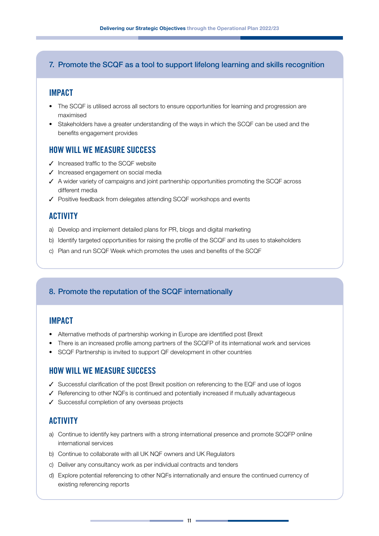#### 7. Promote the SCQF as a tool to support lifelong learning and skills recognition

#### **IMPACT**

- The SCQF is utilised across all sectors to ensure opportunities for learning and progression are maximised
- Stakeholders have a greater understanding of the ways in which the SCQF can be used and the benefits engagement provides

#### **HOW WILL WE MEASURE SUCCESS**

- $\checkmark$  Increased traffic to the SCQF website
- $J$  Increased engagement on social media
- $\checkmark$  A wider variety of campaigns and joint partnership opportunities promoting the SCQF across different media
- $\checkmark$  Positive feedback from delegates attending SCQF workshops and events

#### **ACTIVITY**

- a) Develop and implement detailed plans for PR, blogs and digital marketing
- b) Identify targeted opportunities for raising the profile of the SCQF and its uses to stakeholders
- c) Plan and run SCQF Week which promotes the uses and benefits of the SCQF

#### 8. Promote the reputation of the SCQF internationally

#### **IMPACT**

- Alternative methods of partnership working in Europe are identified post Brexit
- There is an increased profile among partners of the SCQFP of its international work and services
- SCQF Partnership is invited to support QF development in other countries

#### **HOW WILL WE MEASURE SUCCESS**

- $\checkmark$  Successful clarification of the post Brexit position on referencing to the EQF and use of logos
- $\checkmark$  Referencing to other NQFs is continued and potentially increased if mutually advantageous
- $\checkmark$  Successful completion of any overseas projects

- a) Continue to identify key partners with a strong international presence and promote SCQFP online international services
- b) Continue to collaborate with all UK NQF owners and UK Regulators
- c) Deliver any consultancy work as per individual contracts and tenders
- d) Explore potential referencing to other NQFs internationally and ensure the continued currency of existing referencing reports